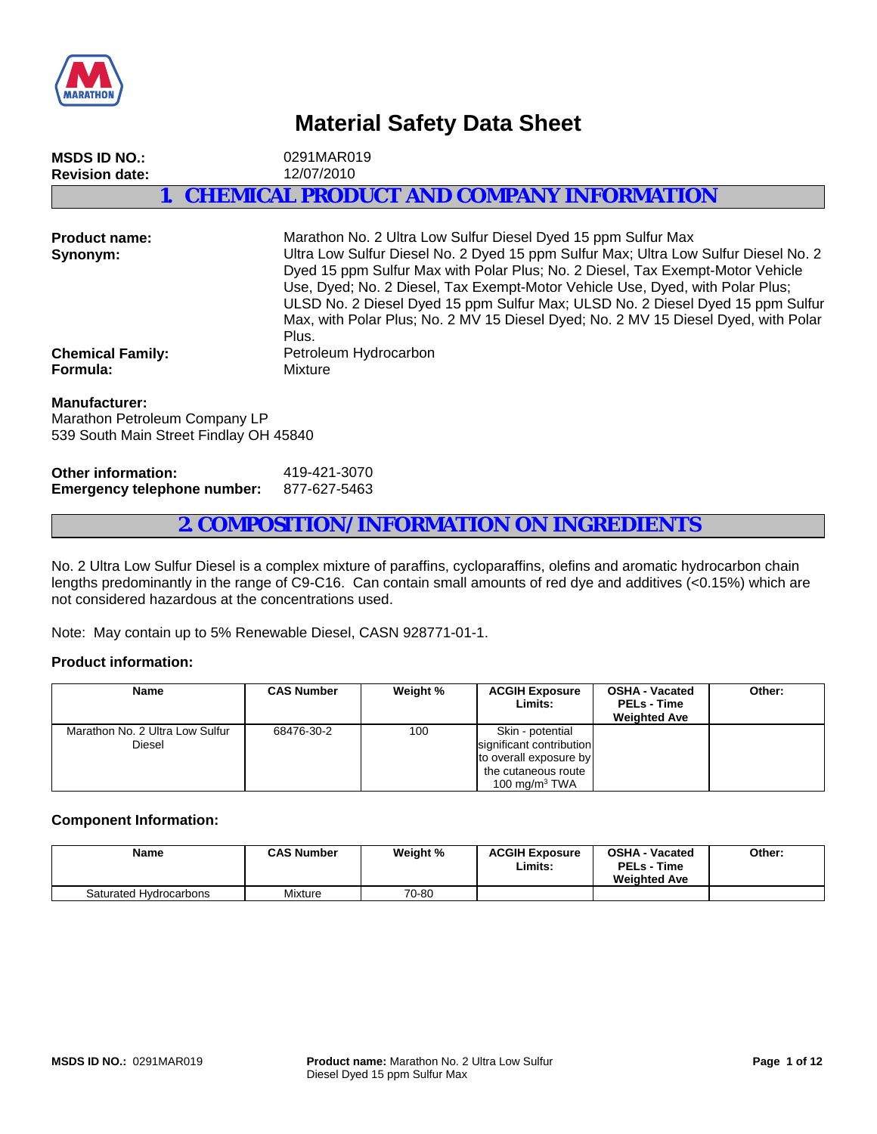

# **Material Safety Data Sheet**

| <b>MSDS ID NO.:</b><br><b>Revision date:</b>                                                    | 0291MAR019<br>12/07/2010                                                                                                                                                                                                                                                                                                                                                                                                                |
|-------------------------------------------------------------------------------------------------|-----------------------------------------------------------------------------------------------------------------------------------------------------------------------------------------------------------------------------------------------------------------------------------------------------------------------------------------------------------------------------------------------------------------------------------------|
|                                                                                                 | 1. CHEMICAL PRODUCT AND COMPANY INFORMATION                                                                                                                                                                                                                                                                                                                                                                                             |
| <b>Product name:</b>                                                                            | Marathon No. 2 Ultra Low Sulfur Diesel Dyed 15 ppm Sulfur Max                                                                                                                                                                                                                                                                                                                                                                           |
| Synonym:                                                                                        | Ultra Low Sulfur Diesel No. 2 Dyed 15 ppm Sulfur Max; Ultra Low Sulfur Diesel No. 2<br>Dyed 15 ppm Sulfur Max with Polar Plus; No. 2 Diesel, Tax Exempt-Motor Vehicle<br>Use, Dyed; No. 2 Diesel, Tax Exempt-Motor Vehicle Use, Dyed, with Polar Plus;<br>ULSD No. 2 Diesel Dyed 15 ppm Sulfur Max; ULSD No. 2 Diesel Dyed 15 ppm Sulfur<br>Max, with Polar Plus; No. 2 MV 15 Diesel Dyed; No. 2 MV 15 Diesel Dyed, with Polar<br>Plus. |
| <b>Chemical Family:</b>                                                                         | Petroleum Hydrocarbon                                                                                                                                                                                                                                                                                                                                                                                                                   |
| Formula:                                                                                        | Mixture                                                                                                                                                                                                                                                                                                                                                                                                                                 |
| <b>Manufacturer:</b><br>Marathon Petroleum Company LP<br>539 South Main Street Findlay OH 45840 |                                                                                                                                                                                                                                                                                                                                                                                                                                         |

**Other information:** 419-421-3070 **Emergency telephone number:** 

# **2. COMPOSITION/INFORMATION ON INGREDIENTS**

No. 2 Ultra Low Sulfur Diesel is a complex mixture of paraffins, cycloparaffins, olefins and aromatic hydrocarbon chain lengths predominantly in the range of C9-C16. Can contain small amounts of red dye and additives (<0.15%) which are not considered hazardous at the concentrations used.

Note: May contain up to 5% Renewable Diesel, CASN 928771-01-1.

#### **Product information:**

| <b>Name</b>                               | <b>CAS Number</b> | Weight % | <b>ACGIH Exposure</b><br>Limits:                                                                                  | <b>OSHA - Vacated</b><br><b>PELs - Time</b><br><b>Weighted Ave</b> | Other: |
|-------------------------------------------|-------------------|----------|-------------------------------------------------------------------------------------------------------------------|--------------------------------------------------------------------|--------|
| Marathon No. 2 Ultra Low Sulfur<br>Diesel | 68476-30-2        | 100      | Skin - potential<br>significant contribution<br>to overall exposure by<br>the cutaneous route<br>100 mg/m $3$ TWA |                                                                    |        |

#### **Component Information:**

| Name                   | <b>CAS Number</b> | Weight % | <b>ACGIH Exposure</b><br>Limits: | <b>OSHA - Vacated</b><br><b>PELs - Time</b><br><b>Weighted Ave</b> | Other: |
|------------------------|-------------------|----------|----------------------------------|--------------------------------------------------------------------|--------|
| Saturated Hydrocarbons | Mixture           | 70-80    |                                  |                                                                    |        |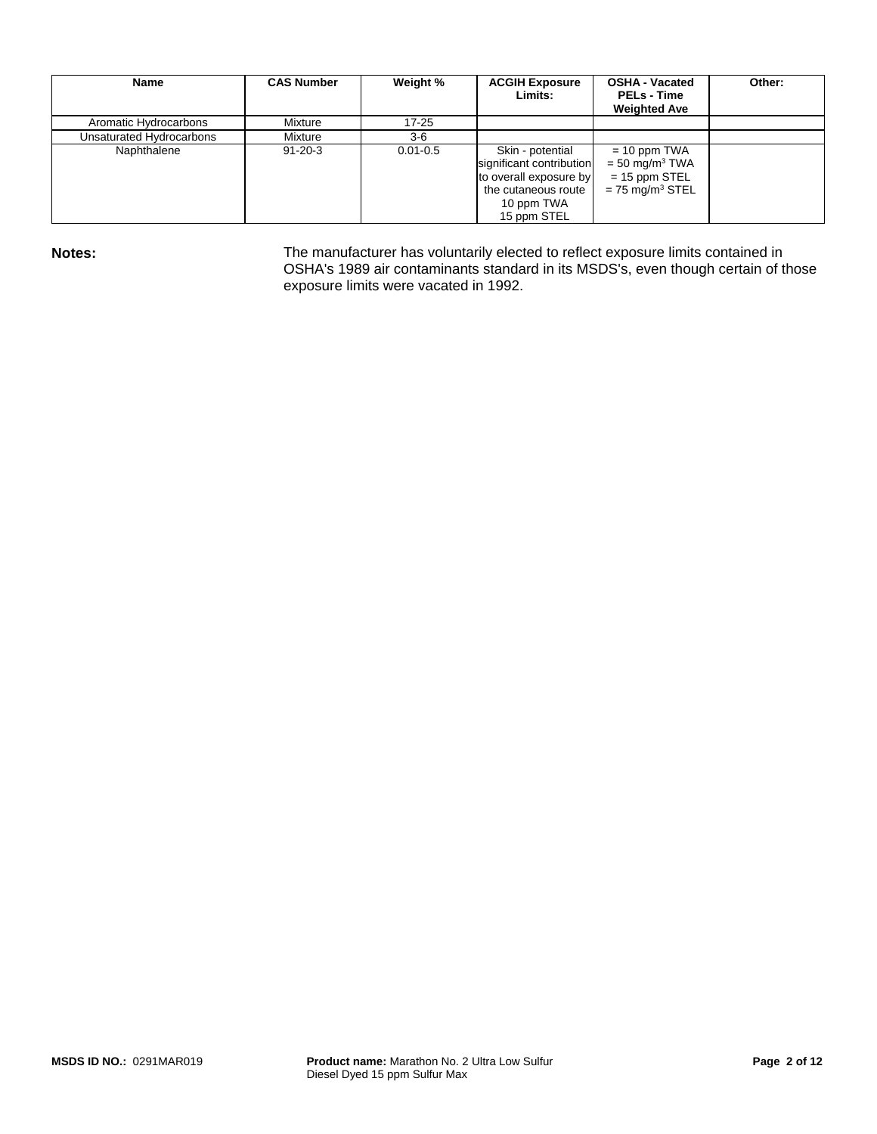| Name                     | <b>CAS Number</b> | Weight %     | <b>ACGIH Exposure</b><br>Limits:                                                                                           | <b>OSHA - Vacated</b><br><b>PELs - Time</b><br><b>Weighted Ave</b>                                 | Other: |
|--------------------------|-------------------|--------------|----------------------------------------------------------------------------------------------------------------------------|----------------------------------------------------------------------------------------------------|--------|
| Aromatic Hydrocarbons    | Mixture           | $17 - 25$    |                                                                                                                            |                                                                                                    |        |
| Unsaturated Hydrocarbons | Mixture           | $3-6$        |                                                                                                                            |                                                                                                    |        |
| Naphthalene              | $91 - 20 - 3$     | $0.01 - 0.5$ | Skin - potential<br>significant contribution<br>to overall exposure by<br>the cutaneous route<br>10 ppm TWA<br>15 ppm STEL | $= 10$ ppm TWA<br>$=$ 50 mg/m <sup>3</sup> TWA<br>$= 15$ ppm STEL<br>$= 75$ mg/m <sup>3</sup> STEL |        |

Notes: **Notes:** The manufacturer has voluntarily elected to reflect exposure limits contained in OSHA's 1989 air contaminants standard in its MSDS's, even though certain of those exposure limits were vacated in 1992.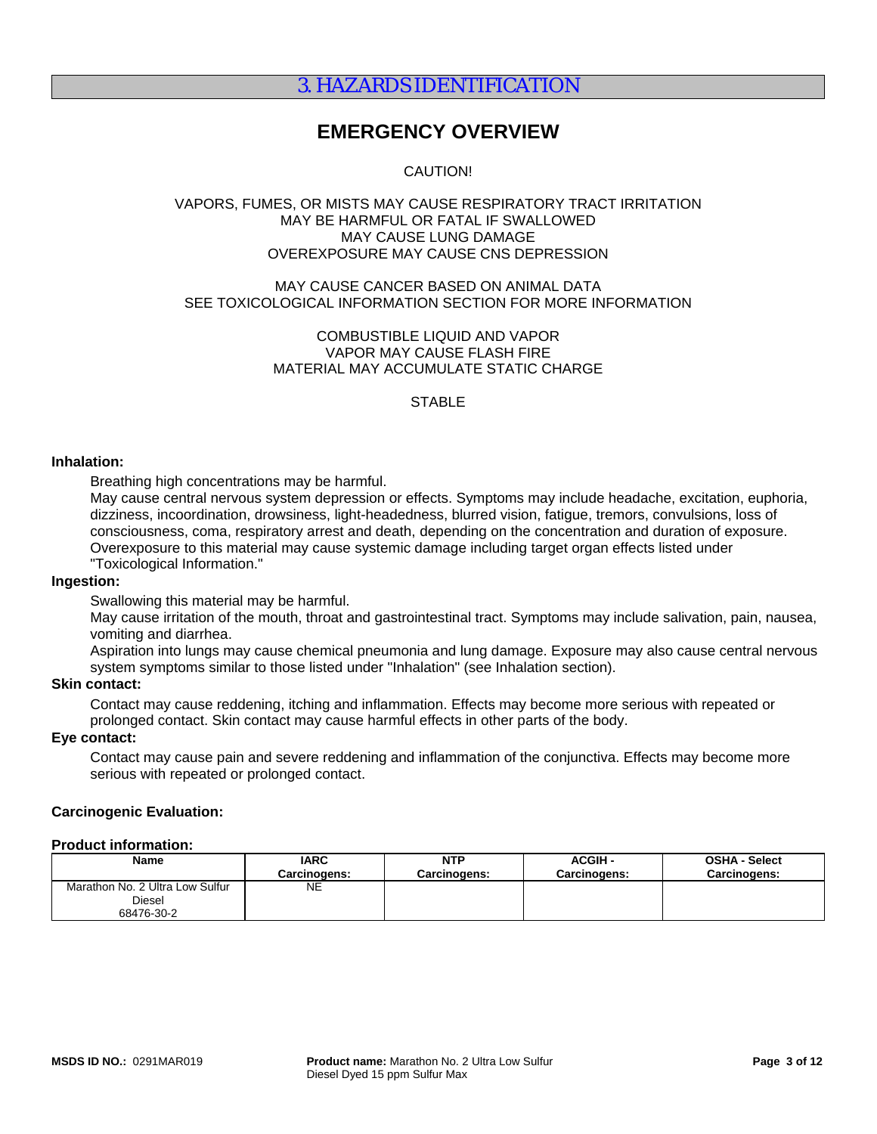# 3. HAZARDS IDENTIFICATION

# **EMERGENCY OVERVIEW**

### CAUTION!

#### VAPORS, FUMES, OR MISTS MAY CAUSE RESPIRATORY TRACT IRRITATION MAY BE HARMFUL OR FATAL IF SWALLOWED MAY CAUSE LUNG DAMAGE OVEREXPOSURE MAY CAUSE CNS DEPRESSION

#### MAY CAUSE CANCER BASED ON ANIMAL DATA SEE TOXICOLOGICAL INFORMATION SECTION FOR MORE INFORMATION

#### COMBUSTIBLE LIQUID AND VAPOR VAPOR MAY CAUSE FLASH FIRE MATERIAL MAY ACCUMULATE STATIC CHARGE

#### **STABLE**

#### **Inhalation:**

Breathing high concentrations may be harmful.

May cause central nervous system depression or effects. Symptoms may include headache, excitation, euphoria, dizziness, incoordination, drowsiness, light-headedness, blurred vision, fatigue, tremors, convulsions, loss of consciousness, coma, respiratory arrest and death, depending on the concentration and duration of exposure. Overexposure to this material may cause systemic damage including target organ effects listed under "Toxicological Information."

#### **Ingestion:**

Swallowing this material may be harmful.

May cause irritation of the mouth, throat and gastrointestinal tract. Symptoms may include salivation, pain, nausea, vomiting and diarrhea.

Aspiration into lungs may cause chemical pneumonia and lung damage. Exposure may also cause central nervous system symptoms similar to those listed under "Inhalation" (see Inhalation section).

#### **Skin contact:**

Contact may cause reddening, itching and inflammation. Effects may become more serious with repeated or prolonged contact. Skin contact may cause harmful effects in other parts of the body.

#### **Eye contact:**

Contact may cause pain and severe reddening and inflammation of the conjunctiva. Effects may become more serious with repeated or prolonged contact.

#### **Carcinogenic Evaluation:**

#### **Product information:**

| <b>Name</b>                     | <b>IARC</b>  | <b>NTP</b>          | <b>ACGIH -</b> | <b>OSHA - Select</b> |
|---------------------------------|--------------|---------------------|----------------|----------------------|
|                                 | Carcinoɑens: | <b>Carcinogens:</b> | Carcinogens:   | <b>Carcinogens:</b>  |
| Marathon No. 2 Ultra Low Sulfur | NE           |                     |                |                      |
| Diesel                          |              |                     |                |                      |
| 68476-30-2                      |              |                     |                |                      |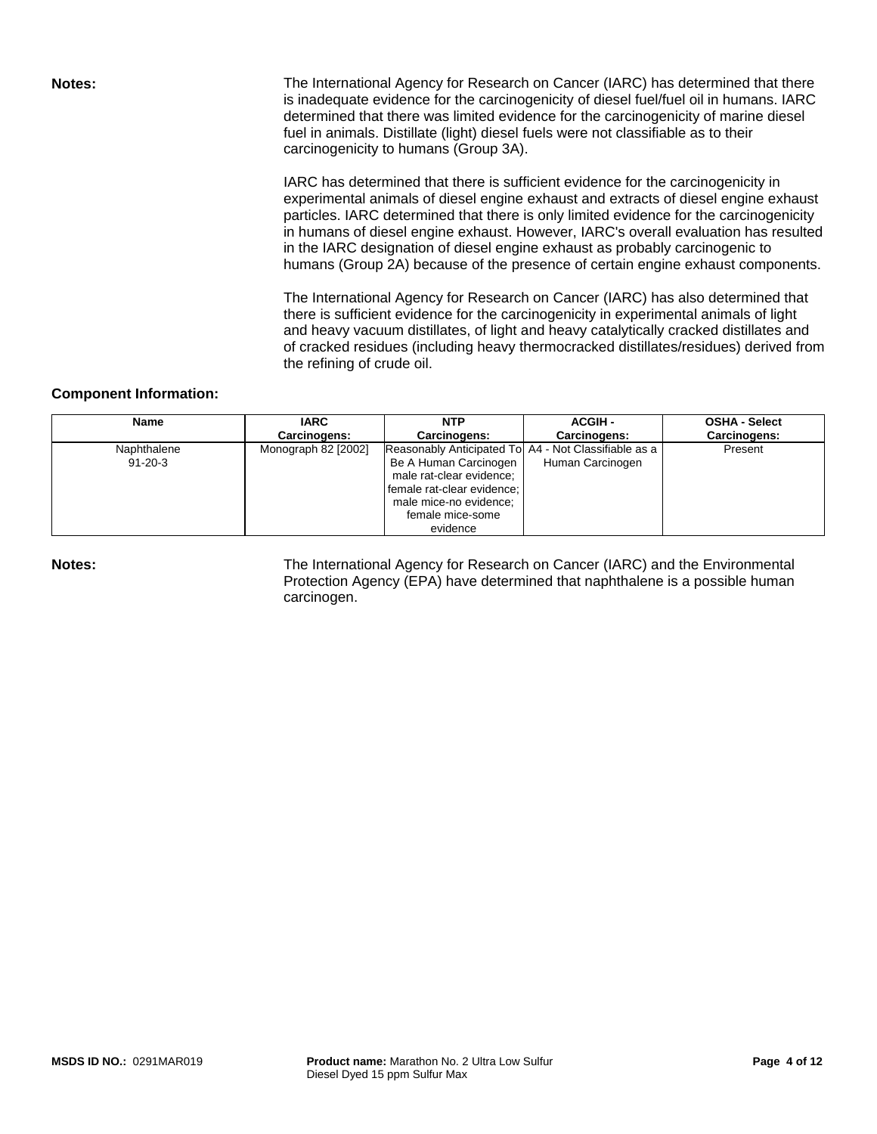**Notes: The International Agency for Research on Cancer (IARC) has determined that there** is inadequate evidence for the carcinogenicity of diesel fuel/fuel oil in humans. IARC determined that there was limited evidence for the carcinogenicity of marine diesel fuel in animals. Distillate (light) diesel fuels were not classifiable as to their carcinogenicity to humans (Group 3A).

> IARC has determined that there is sufficient evidence for the carcinogenicity in experimental animals of diesel engine exhaust and extracts of diesel engine exhaust particles. IARC determined that there is only limited evidence for the carcinogenicity in humans of diesel engine exhaust. However, IARC's overall evaluation has resulted in the IARC designation of diesel engine exhaust as probably carcinogenic to humans (Group 2A) because of the presence of certain engine exhaust components.

> The International Agency for Research on Cancer (IARC) has also determined that there is sufficient evidence for the carcinogenicity in experimental animals of light and heavy vacuum distillates, of light and heavy catalytically cracked distillates and of cracked residues (including heavy thermocracked distillates/residues) derived from the refining of crude oil.

#### **Component Information:**

| Name          | <b>IARC</b>         | NTP                                                  | <b>ACGIH-</b>    | <b>OSHA - Select</b> |
|---------------|---------------------|------------------------------------------------------|------------------|----------------------|
|               | Carcinogens:        | Carcinogens:                                         | Carcinogens:     | Carcinogens:         |
| Naphthalene   | Monograph 82 [2002] | Reasonably Anticipated To A4 - Not Classifiable as a |                  | Present              |
| $91 - 20 - 3$ |                     | Be A Human Carcinogen                                | Human Carcinogen |                      |
|               |                     | male rat-clear evidence;                             |                  |                      |
|               |                     | female rat-clear evidence;                           |                  |                      |
|               |                     | male mice-no evidence;                               |                  |                      |
|               |                     | female mice-some                                     |                  |                      |
|               |                     | evidence                                             |                  |                      |

**Notes:** The International Agency for Research on Cancer (IARC) and the Environmental Protection Agency (EPA) have determined that naphthalene is a possible human carcinogen.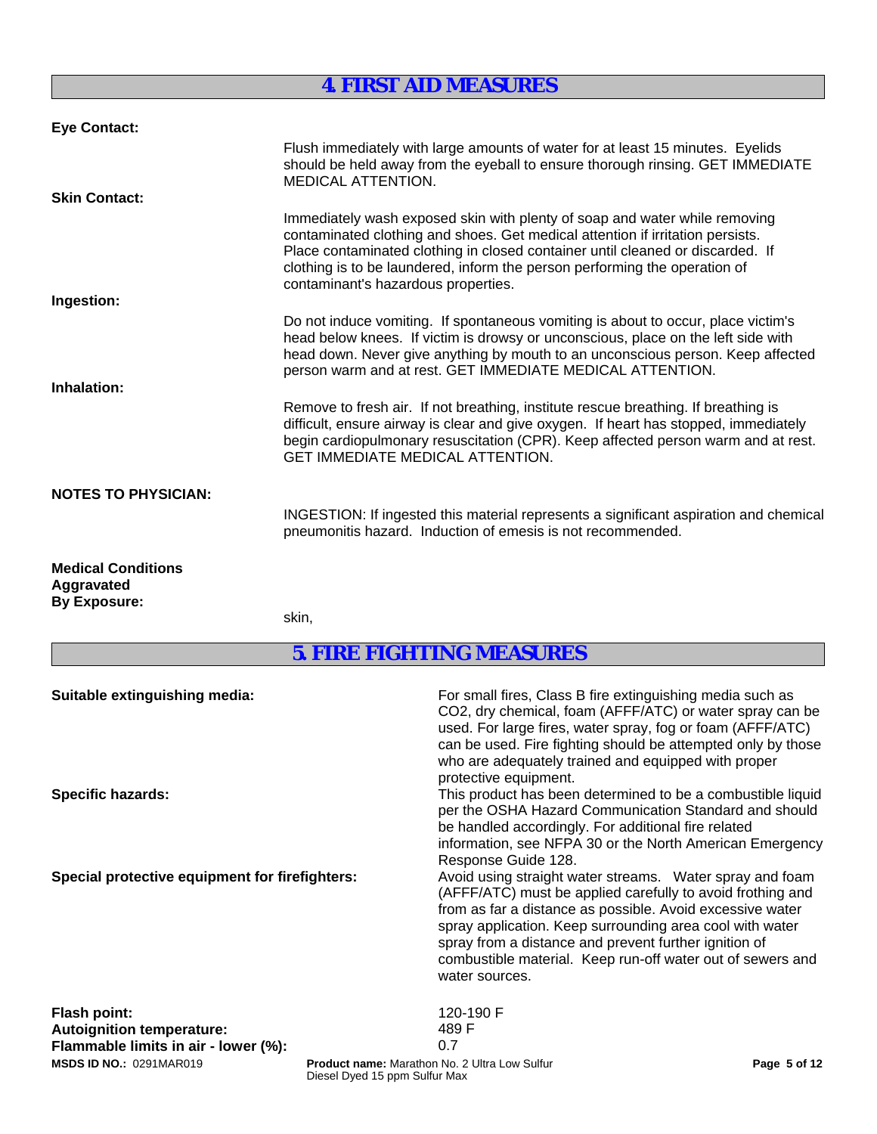# **4. FIRST AID MEASURES**

| <b>Eye Contact:</b>                                            |                                                                                                                                                                                                                                                                                                                                                                     |
|----------------------------------------------------------------|---------------------------------------------------------------------------------------------------------------------------------------------------------------------------------------------------------------------------------------------------------------------------------------------------------------------------------------------------------------------|
|                                                                | Flush immediately with large amounts of water for at least 15 minutes. Eyelids<br>should be held away from the eyeball to ensure thorough rinsing. GET IMMEDIATE<br><b>MEDICAL ATTENTION.</b>                                                                                                                                                                       |
| <b>Skin Contact:</b>                                           |                                                                                                                                                                                                                                                                                                                                                                     |
|                                                                | Immediately wash exposed skin with plenty of soap and water while removing<br>contaminated clothing and shoes. Get medical attention if irritation persists.<br>Place contaminated clothing in closed container until cleaned or discarded. If<br>clothing is to be laundered, inform the person performing the operation of<br>contaminant's hazardous properties. |
| Ingestion:                                                     |                                                                                                                                                                                                                                                                                                                                                                     |
| Inhalation:                                                    | Do not induce vomiting. If spontaneous vomiting is about to occur, place victim's<br>head below knees. If victim is drowsy or unconscious, place on the left side with<br>head down. Never give anything by mouth to an unconscious person. Keep affected<br>person warm and at rest. GET IMMEDIATE MEDICAL ATTENTION.                                              |
|                                                                | Remove to fresh air. If not breathing, institute rescue breathing. If breathing is<br>difficult, ensure airway is clear and give oxygen. If heart has stopped, immediately<br>begin cardiopulmonary resuscitation (CPR). Keep affected person warm and at rest.<br><b>GET IMMEDIATE MEDICAL ATTENTION.</b>                                                          |
| <b>NOTES TO PHYSICIAN:</b>                                     |                                                                                                                                                                                                                                                                                                                                                                     |
|                                                                | INGESTION: If ingested this material represents a significant aspiration and chemical<br>pneumonitis hazard. Induction of emesis is not recommended.                                                                                                                                                                                                                |
| <b>Medical Conditions</b><br>Aggravated<br><b>By Exposure:</b> |                                                                                                                                                                                                                                                                                                                                                                     |

skin,

# **5. FIRE FIGHTING MEASURES**

| Suitable extinguishing media:<br><b>Specific hazards:</b>                                       | For small fires, Class B fire extinguishing media such as<br>CO2, dry chemical, foam (AFFF/ATC) or water spray can be<br>used. For large fires, water spray, fog or foam (AFFF/ATC)<br>can be used. Fire fighting should be attempted only by those<br>who are adequately trained and equipped with proper<br>protective equipment.<br>This product has been determined to be a combustible liquid<br>per the OSHA Hazard Communication Standard and should<br>be handled accordingly. For additional fire related<br>information, see NFPA 30 or the North American Emergency<br>Response Guide 128. |              |
|-------------------------------------------------------------------------------------------------|-------------------------------------------------------------------------------------------------------------------------------------------------------------------------------------------------------------------------------------------------------------------------------------------------------------------------------------------------------------------------------------------------------------------------------------------------------------------------------------------------------------------------------------------------------------------------------------------------------|--------------|
| Special protective equipment for firefighters:                                                  | Avoid using straight water streams. Water spray and foam<br>(AFFF/ATC) must be applied carefully to avoid frothing and<br>from as far a distance as possible. Avoid excessive water<br>spray application. Keep surrounding area cool with water<br>spray from a distance and prevent further ignition of<br>combustible material. Keep run-off water out of sewers and<br>water sources.                                                                                                                                                                                                              |              |
| <b>Flash point:</b><br><b>Autoignition temperature:</b><br>Flammable limits in air - lower (%): | 120-190 F<br>489 F<br>0.7                                                                                                                                                                                                                                                                                                                                                                                                                                                                                                                                                                             |              |
| <b>MSDS ID NO.: 0291MAR019</b>                                                                  | Product name: Marathon No. 2 Ultra Low Sulfur                                                                                                                                                                                                                                                                                                                                                                                                                                                                                                                                                         | Page 5 of 12 |

Diesel Dyed 15 ppm Sulfur Max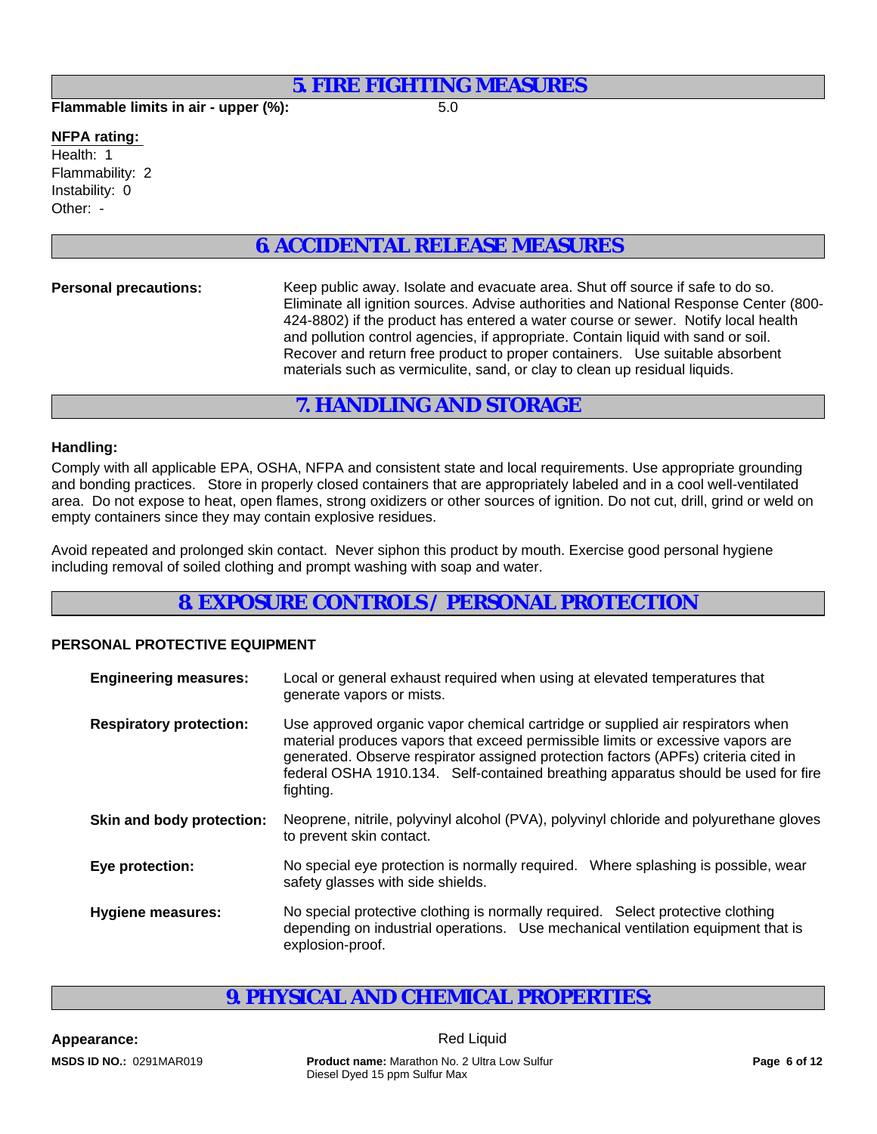## **5. FIRE FIGHTING MEASURES**

**Flammable limits in air - upper (%):** 5.0

### **NFPA rating:**

Instability: 0 Other: - Flammability: 2 Health: 1

# **6. ACCIDENTAL RELEASE MEASURES**

**Personal precautions:** Keep public away. Isolate and evacuate area. Shut off source if safe to do so. Eliminate all ignition sources. Advise authorities and National Response Center (800- 424-8802) if the product has entered a water course or sewer. Notify local health and pollution control agencies, if appropriate. Contain liquid with sand or soil. Recover and return free product to proper containers. Use suitable absorbent materials such as vermiculite, sand, or clay to clean up residual liquids.

# **7. HANDLING AND STORAGE**

### **Handling:**

Comply with all applicable EPA, OSHA, NFPA and consistent state and local requirements. Use appropriate grounding and bonding practices. Store in properly closed containers that are appropriately labeled and in a cool well-ventilated area. Do not expose to heat, open flames, strong oxidizers or other sources of ignition. Do not cut, drill, grind or weld on empty containers since they may contain explosive residues.

Avoid repeated and prolonged skin contact. Never siphon this product by mouth. Exercise good personal hygiene including removal of soiled clothing and prompt washing with soap and water.

# **8. EXPOSURE CONTROLS / PERSONAL PROTECTION**

#### **PERSONAL PROTECTIVE EQUIPMENT**

| <b>Engineering measures:</b>   | Local or general exhaust required when using at elevated temperatures that<br>generate vapors or mists.                                                                                                                                                                                                                                                   |
|--------------------------------|-----------------------------------------------------------------------------------------------------------------------------------------------------------------------------------------------------------------------------------------------------------------------------------------------------------------------------------------------------------|
| <b>Respiratory protection:</b> | Use approved organic vapor chemical cartridge or supplied air respirators when<br>material produces vapors that exceed permissible limits or excessive vapors are<br>generated. Observe respirator assigned protection factors (APFs) criteria cited in<br>federal OSHA 1910.134. Self-contained breathing apparatus should be used for fire<br>fighting. |
| Skin and body protection:      | Neoprene, nitrile, polyvinyl alcohol (PVA), polyvinyl chloride and polyurethane gloves<br>to prevent skin contact.                                                                                                                                                                                                                                        |
| Eye protection:                | No special eye protection is normally required. Where splashing is possible, wear<br>safety glasses with side shields.                                                                                                                                                                                                                                    |
| <b>Hygiene measures:</b>       | No special protective clothing is normally required. Select protective clothing<br>depending on industrial operations. Use mechanical ventilation equipment that is<br>explosion-proof.                                                                                                                                                                   |

# **9. PHYSICAL AND CHEMICAL PROPERTIES:**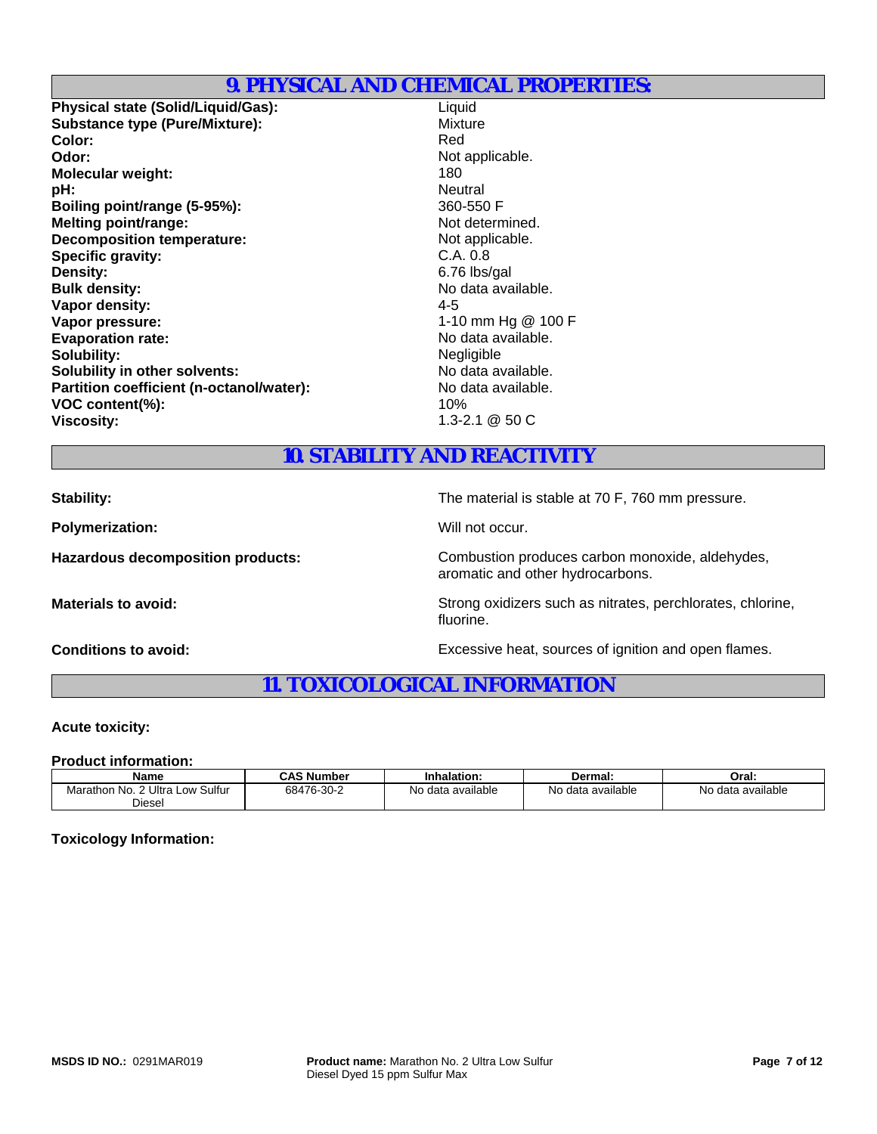# **9. PHYSICAL AND CHEMICAL PROPERTIES:**

**Physical state (Solid/Liquid/Gas):** Liquid **Substance type (Pure/Mixture):** Mixture **Color:** Red **Odor:** Not applicable. **Molecular weight:** 180 **pH:** Neutral **Boiling point/range (5-95%):** 360-550 F **Melting point/range:** Not determined. **Decomposition temperature:** Not applicable.<br> **Specific gravity:** C.A. 0.8 **Specific gravity: Density:** 6.76 lbs/gal **Bulk density:** No data available. **Vapor density:** 4-5 **Vapor pressure:**  $\blacksquare$  1-10 mm Hg @ 100 F<br>**Evaporation rate:**  $\blacksquare$  1-10 mm Hg @ 100 F **Evaporation rate:** No data available to the Modata available.<br> **Solubility:** Negligible. **Solubility:**<br> **Solubility in other solvents:**<br> **Solubility in other solvents:**<br> **Solubility in other solvents: Solubility in other solvents:** No data available.<br> **Partition coefficient (n-octanol/water):** No data available. **Partition coefficient (n-octanol/water): VOC content(%):** 10% **Viscosity:** 1.3-2.1 @ 50 C

# **10. STABILITY AND REACTIVITY**

**Polymerization:** Will not occur.

**Stability:** The material is stable at 70 F, 760 mm pressure.

**Hazardous decomposition products:** Combustion produces carbon monoxide, aldehydes, aromatic and other hydrocarbons.

**Materials to avoid:** Strong oxidizers such as nitrates, perchlorates, chlorine, fluorine.

**Conditions to avoid:** Excessive heat, sources of ignition and open flames.

# **11. TOXICOLOGICAL INFORMATION**

#### **Acute toxicity:**

#### **Product information:**

| <b>Name</b>                               | <b>CAS Number</b> | Inhalation:       | Dermal:                | Oral:             |
|-------------------------------------------|-------------------|-------------------|------------------------|-------------------|
| . Low Sulfur<br>2 Ultra<br>Marathon No. 2 | 68476-30-2        | No data available | No data<br>ı avaılable | No data available |
| Diesel                                    |                   |                   |                        |                   |

#### **Toxicology Information:**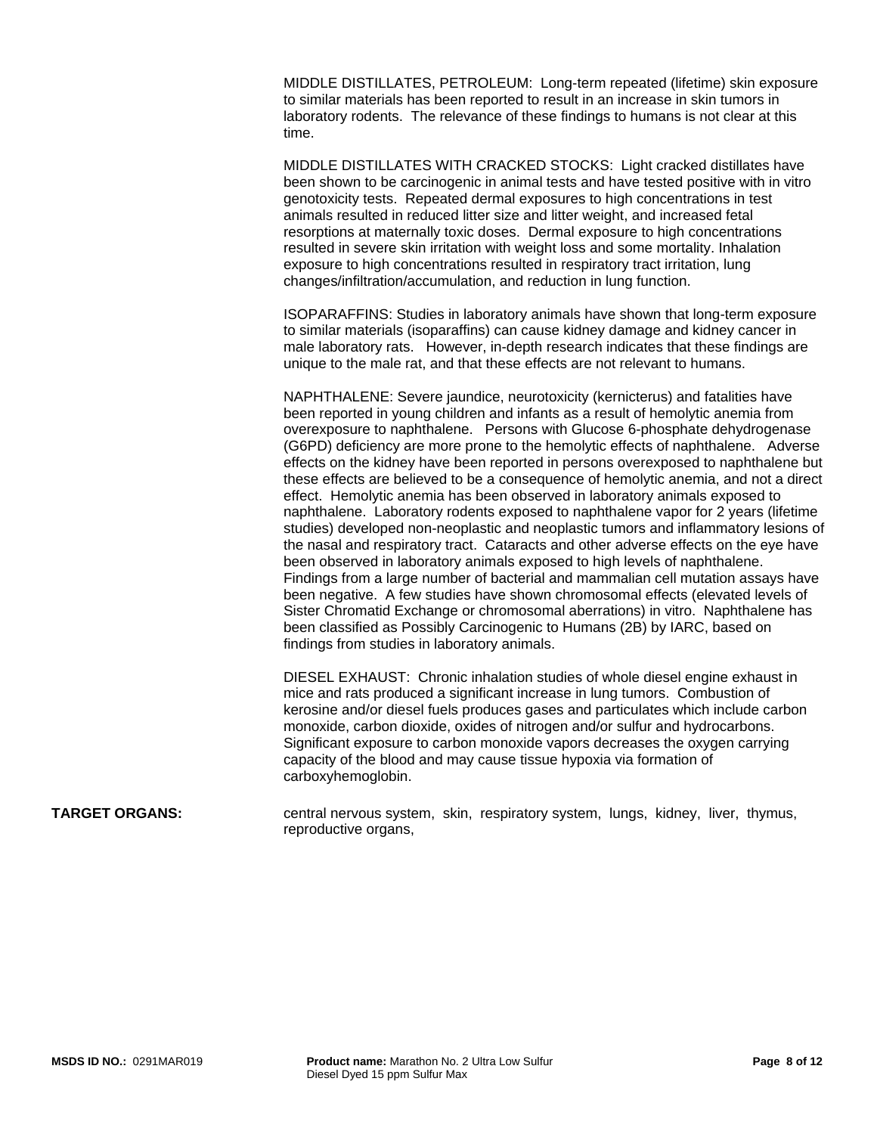MIDDLE DISTILLATES, PETROLEUM: Long-term repeated (lifetime) skin exposure to similar materials has been reported to result in an increase in skin tumors in laboratory rodents. The relevance of these findings to humans is not clear at this time.

MIDDLE DISTILLATES WITH CRACKED STOCKS: Light cracked distillates have been shown to be carcinogenic in animal tests and have tested positive with in vitro genotoxicity tests. Repeated dermal exposures to high concentrations in test animals resulted in reduced litter size and litter weight, and increased fetal resorptions at maternally toxic doses. Dermal exposure to high concentrations resulted in severe skin irritation with weight loss and some mortality. Inhalation exposure to high concentrations resulted in respiratory tract irritation, lung changes/infiltration/accumulation, and reduction in lung function.

ISOPARAFFINS: Studies in laboratory animals have shown that long-term exposure to similar materials (isoparaffins) can cause kidney damage and kidney cancer in male laboratory rats. However, in-depth research indicates that these findings are unique to the male rat, and that these effects are not relevant to humans.

NAPHTHALENE: Severe jaundice, neurotoxicity (kernicterus) and fatalities have been reported in young children and infants as a result of hemolytic anemia from overexposure to naphthalene. Persons with Glucose 6-phosphate dehydrogenase (G6PD) deficiency are more prone to the hemolytic effects of naphthalene. Adverse effects on the kidney have been reported in persons overexposed to naphthalene but these effects are believed to be a consequence of hemolytic anemia, and not a direct effect. Hemolytic anemia has been observed in laboratory animals exposed to naphthalene. Laboratory rodents exposed to naphthalene vapor for 2 years (lifetime studies) developed non-neoplastic and neoplastic tumors and inflammatory lesions of the nasal and respiratory tract. Cataracts and other adverse effects on the eye have been observed in laboratory animals exposed to high levels of naphthalene. Findings from a large number of bacterial and mammalian cell mutation assays have been negative. A few studies have shown chromosomal effects (elevated levels of Sister Chromatid Exchange or chromosomal aberrations) in vitro. Naphthalene has been classified as Possibly Carcinogenic to Humans (2B) by IARC, based on findings from studies in laboratory animals.

DIESEL EXHAUST: Chronic inhalation studies of whole diesel engine exhaust in mice and rats produced a significant increase in lung tumors. Combustion of kerosine and/or diesel fuels produces gases and particulates which include carbon monoxide, carbon dioxide, oxides of nitrogen and/or sulfur and hydrocarbons. Significant exposure to carbon monoxide vapors decreases the oxygen carrying capacity of the blood and may cause tissue hypoxia via formation of carboxyhemoglobin.

**TARGET ORGANS:** central nervous system, skin, respiratory system, lungs, kidney, liver, thymus, reproductive organs,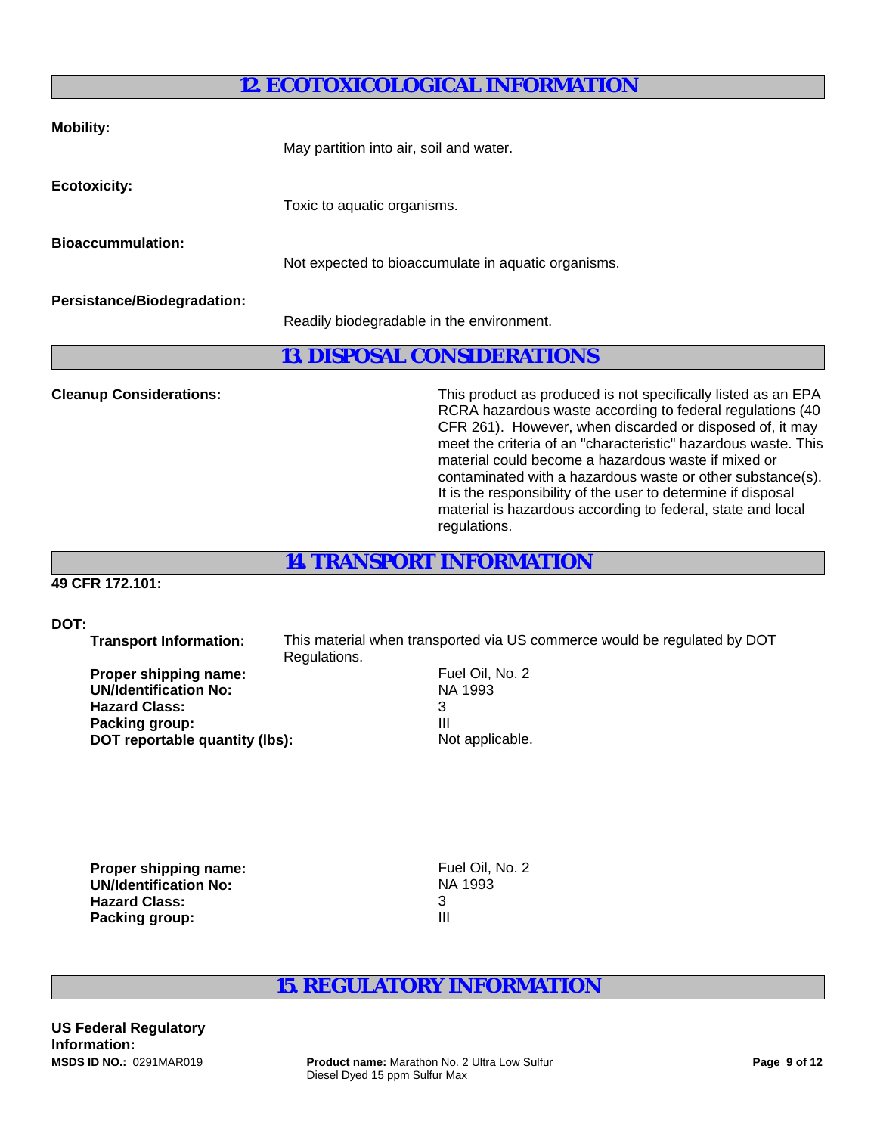# **12. ECOTOXICOLOGICAL INFORMATION**

| <b>Mobility:</b>                   | May partition into air, soil and water.             |
|------------------------------------|-----------------------------------------------------|
| <b>Ecotoxicity:</b>                | Toxic to aquatic organisms.                         |
| <b>Bioaccummulation:</b>           | Not expected to bioaccumulate in aquatic organisms. |
| <b>Persistance/Biodegradation:</b> | Readily biodegradable in the environment.           |

**13. DISPOSAL CONSIDERATIONS**

**Cleanup Considerations:** This product as produced is not specifically listed as an EPA RCRA hazardous waste according to federal regulations (40 CFR 261). However, when discarded or disposed of, it may meet the criteria of an "characteristic" hazardous waste. This material could become a hazardous waste if mixed or contaminated with a hazardous waste or other substance(s). It is the responsibility of the user to determine if disposal material is hazardous according to federal, state and local regulations.

**14. TRANSPORT INFORMATION**

### **49 CFR 172.101:**

### **DOT:**

 **Transport Information:** This material when transported via US commerce would be regulated by DOT Regulations.

| Proper shipping name:          | Fuel Oil, No. 2 |
|--------------------------------|-----------------|
| <b>UN/Identification No:</b>   | NA 1993         |
| <b>Hazard Class:</b>           |                 |
| Packing group:                 | Ш               |
| DOT reportable quantity (lbs): | Not applicable. |

| Proper shipping name:        | Fuel Oil, No. 2 |
|------------------------------|-----------------|
| <b>UN/Identification No:</b> | NA 1993         |
| <b>Hazard Class:</b>         |                 |
| Packing group:               | Ш               |

## **15. REGULATORY INFORMATION**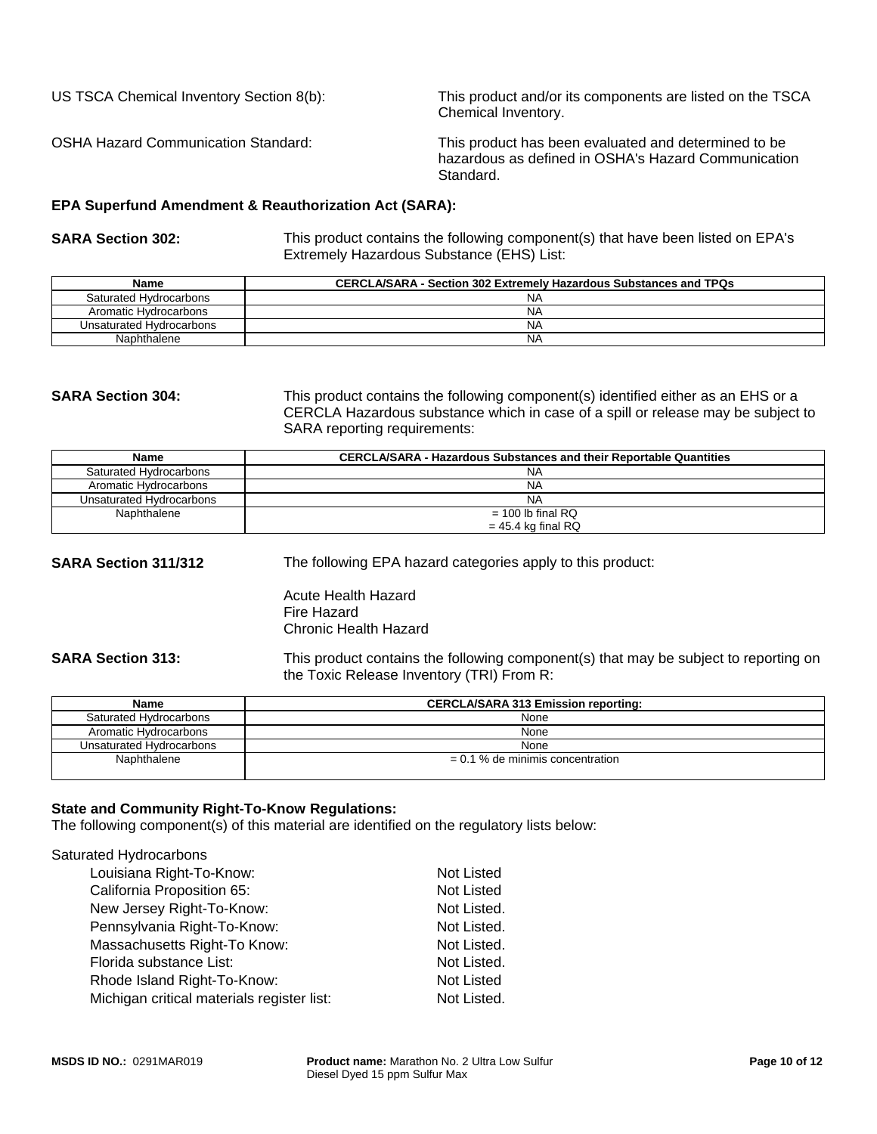US TSCA Chemical Inventory Section 8(b): This product and/or its components are listed on the TSCA Chemical Inventory.

OSHA Hazard Communication Standard: This product has been evaluated and determined to be hazardous as defined in OSHA's Hazard Communication Standard.

#### **EPA Superfund Amendment & Reauthorization Act (SARA):**

**SARA Section 302:** This product contains the following component(s) that have been listed on EPA's Extremely Hazardous Substance (EHS) List:

| <b>Name</b>              | <b>CERCLA/SARA - Section 302 Extremely Hazardous Substances and TPQs</b> |
|--------------------------|--------------------------------------------------------------------------|
| Saturated Hydrocarbons   | NA                                                                       |
| Aromatic Hydrocarbons    | <b>NA</b>                                                                |
| Unsaturated Hydrocarbons | <b>NA</b>                                                                |
| Naphthalene              | <b>NA</b>                                                                |

**SARA Section 304:** This product contains the following component(s) identified either as an EHS or a CERCLA Hazardous substance which in case of a spill or release may be subject to SARA reporting requirements:

| <b>Name</b>              | <b>CERCLA/SARA - Hazardous Substances and their Reportable Quantities</b> |
|--------------------------|---------------------------------------------------------------------------|
| Saturated Hydrocarbons   | <b>NA</b>                                                                 |
| Aromatic Hydrocarbons    | <b>NA</b>                                                                 |
| Unsaturated Hydrocarbons | <b>NA</b>                                                                 |
| Naphthalene              | $= 100$ lb final RQ                                                       |
|                          | $= 45.4$ kg final RQ                                                      |

**SARA Section 311/312** The following EPA hazard categories apply to this product:

Acute Health Hazard Fire Hazard Chronic Health Hazard

**SARA Section 313:** This product contains the following component(s) that may be subject to reporting on the Toxic Release Inventory (TRI) From R:

| <b>Name</b>              | <b>CERCLA/SARA 313 Emission reporting:</b> |  |
|--------------------------|--------------------------------------------|--|
| Saturated Hydrocarbons   | None                                       |  |
| Aromatic Hydrocarbons    | None                                       |  |
| Unsaturated Hydrocarbons | None                                       |  |
| Naphthalene              | $= 0.1$ % de minimis concentration         |  |

#### **State and Community Right-To-Know Regulations:**

The following component(s) of this material are identified on the regulatory lists below:

| Saturated Hydrocarbons                     |                   |
|--------------------------------------------|-------------------|
| Louisiana Right-To-Know:                   | Not Listed        |
| California Proposition 65:                 | <b>Not Listed</b> |
| New Jersey Right-To-Know:                  | Not Listed.       |
| Pennsylvania Right-To-Know:                | Not Listed.       |
| Massachusetts Right-To Know:               | Not Listed.       |
| Florida substance List:                    | Not Listed.       |
| Rhode Island Right-To-Know:                | Not Listed        |
| Michigan critical materials register list: | Not Listed.       |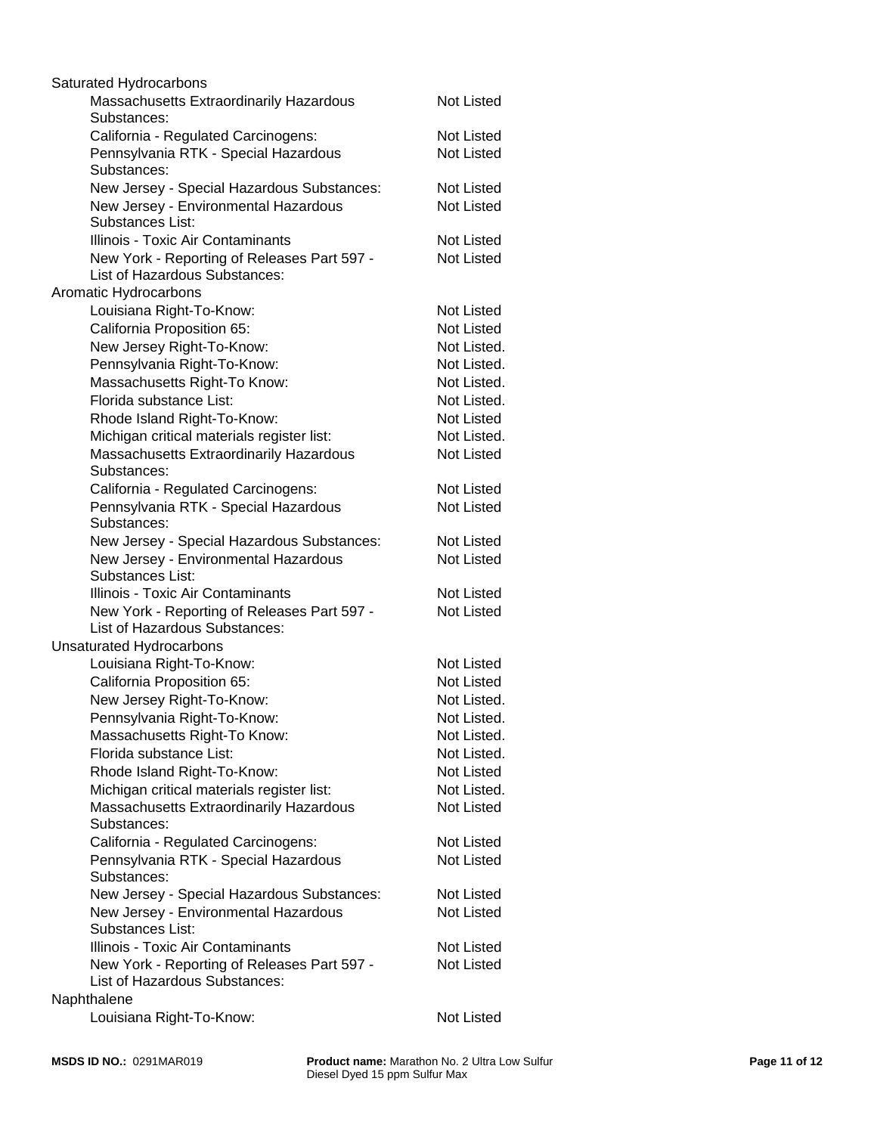| Saturated Hydrocarbons                                 |                   |
|--------------------------------------------------------|-------------------|
| Massachusetts Extraordinarily Hazardous<br>Substances: | <b>Not Listed</b> |
| California - Regulated Carcinogens:                    | <b>Not Listed</b> |
| Pennsylvania RTK - Special Hazardous                   | <b>Not Listed</b> |
| Substances:                                            |                   |
| New Jersey - Special Hazardous Substances:             | Not Listed        |
| New Jersey - Environmental Hazardous                   | <b>Not Listed</b> |
| <b>Substances List:</b>                                |                   |
| Illinois - Toxic Air Contaminants                      | Not Listed        |
| New York - Reporting of Releases Part 597 -            | <b>Not Listed</b> |
| List of Hazardous Substances:                          |                   |
| Aromatic Hydrocarbons                                  |                   |
| Louisiana Right-To-Know:                               | <b>Not Listed</b> |
| California Proposition 65:                             | <b>Not Listed</b> |
| New Jersey Right-To-Know:                              | Not Listed.       |
| Pennsylvania Right-To-Know:                            | Not Listed.       |
| Massachusetts Right-To Know:                           | Not Listed.       |
| Florida substance List:                                | Not Listed.       |
| Rhode Island Right-To-Know:                            | Not Listed        |
| Michigan critical materials register list:             | Not Listed.       |
| Massachusetts Extraordinarily Hazardous<br>Substances: | <b>Not Listed</b> |
| California - Regulated Carcinogens:                    | Not Listed        |
| Pennsylvania RTK - Special Hazardous<br>Substances:    | <b>Not Listed</b> |
| New Jersey - Special Hazardous Substances:             | <b>Not Listed</b> |
| New Jersey - Environmental Hazardous                   | <b>Not Listed</b> |
| Substances List:                                       |                   |
| Illinois - Toxic Air Contaminants                      | <b>Not Listed</b> |
| New York - Reporting of Releases Part 597 -            | <b>Not Listed</b> |
| List of Hazardous Substances:                          |                   |
| Unsaturated Hydrocarbons                               |                   |
| Louisiana Right-To-Know:                               | <b>Not Listed</b> |
| California Proposition 65:                             | Not Listed        |
| New Jersey Right-To-Know:                              | Not Listed.       |
| Pennsylvania Right-To-Know:                            | Not Listed.       |
| Massachusetts Right-To Know:                           | Not Listed.       |
| Florida substance List:                                | Not Listed.       |
| Rhode Island Right-To-Know:                            | Not Listed        |
| Michigan critical materials register list:             | Not Listed.       |
| Massachusetts Extraordinarily Hazardous<br>Substances: | Not Listed        |
| California - Regulated Carcinogens:                    | Not Listed        |
| Pennsylvania RTK - Special Hazardous<br>Substances:    | <b>Not Listed</b> |
| New Jersey - Special Hazardous Substances:             | Not Listed        |
| New Jersey - Environmental Hazardous                   | <b>Not Listed</b> |
| Substances List:                                       |                   |
| Illinois - Toxic Air Contaminants                      | Not Listed        |
| New York - Reporting of Releases Part 597 -            | <b>Not Listed</b> |
| List of Hazardous Substances:                          |                   |
| Naphthalene                                            |                   |
| Louisiana Right-To-Know:                               | Not Listed        |
|                                                        |                   |